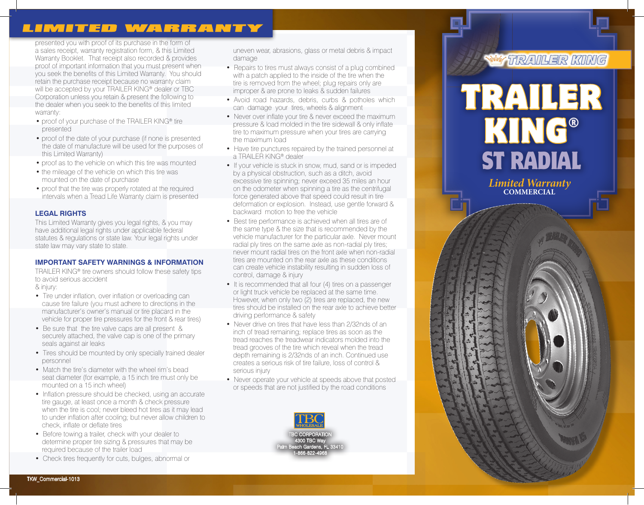# LIMITED WARRANTY

presented you with proof of its purchase in the form of a sales receipt, warranty registration form, & this Limited Warranty Booklet. That receipt also recorded & provides proof of important information that you must present when you seek the benefits of this Limited Warranty. You should retain the purchase receipt because no warranty claim will be accepted by your TRAILER KING<sup>®</sup> dealer or TBC Corporation unless you retain & present the following to the dealer when you seek to the benefits of this limited warranty:

- proof of your purchase of the TRAILER KING® tire presented
- proof of the date of your purchase (if none is presented the date of manufacture will be used for the purposes of this Limited Warranty)
- proof as to the vehicle on which this tire was mounted
- the mileage of the vehicle on which this tire was mounted on the date of purchase
- proof that the tire was properly rotated at the required intervals when a Tread Life Warranty claim is presented

# **LEGAL RIGHTS**

This Limited Warranty gives you legal rights, & you may have additional legal rights under applicable federal statutes & regulations or state law. Your legal rights under state law may vary state to state.

### **IMPORTANT SAFETY WARNINGS & INFORMATION**

TRAILER KING® tire owners should follow these safety tips to avoid serious accident & injury:

- Tire under inflation, over inflation or overloading can cause tire failure (you must adhere to directions in the manufacturer's owner's manual or tire placard in the vehicle for proper tire pressures for the front & rear tires)
- Be sure that the tire valve caps are all present & securely attached, the valve cap is one of the primary seals against air leaks
- Tires should be mounted by only specially trained dealer personnel
- Match the tire's diameter with the wheel rim's bead seat diameter (for example, a 15 inch tire must only be mounted on a 15 inch wheel)
- Inflation pressure should be checked, using an accurate tire gauge, at least once a month & check pressure when the tire is cool; never bleed hot tires as it may lead to under inflation after cooling; but never allow children to check, inflate or deflate tires
- Before towing a trailer, check with your dealer to determine proper tire sizing & pressures that may be required because of the trailer load
- Check tires frequently for cuts, bulges, abnormal or

uneven wear, abrasions, glass or metal debris & impact damage

- Repairs to tires must always consist of a plug combined with a patch applied to the inside of the tire when the tire is removed from the wheel; plug repairs only are improper & are prone to leaks & sudden failures
- Avoid road hazards, debris, curbs & potholes which can damage your tires, wheels & alignment
- Never over inflate your tire & never exceed the maximum pressure & load molded in the tire sidewall & only inflate tire to maximum pressure when your tires are carrying the maximum load
- Have tire punctures repaired by the trained personnel at a TRAILER KING® dealer
- If your vehicle is stuck in snow, mud, sand or is impeded by a physical obstruction, such as a ditch, avoid excessive tire spinning; never exceed 35 miles an hour on the odometer when spinning a tire as the centrifugal force generated above that speed could result in tire deformation or explosion. Instead, use gentle forward & backward motion to free the vehicle
- Best tire performance is achieved when all tires are of the same type & the size that is recommended by the vehicle manufacturer for the particular axle. Never mount radial ply tires on the same axle as non-radial ply tires; never mount radial tires on the front axle when non-radial tires are mounted on the rear axle as these conditions can create vehicle instability resulting in sudden loss of control, damage & injury
- It is recommended that all four (4) tires on a passenger or light truck vehicle be replaced at the same time. However, when only two (2) tires are replaced, the new tires should be installed on the rear axle to achieve better driving performance & safety
- Never drive on tires that have less than 2/32nds of an inch of tread remaining; replace tires as soon as the tread reaches the treadwear indicators molded into the tread grooves of the tire which reveal when the tread depth remaining is 2/32nds of an inch. Continued use creates a serious risk of tire failure, loss of control & serious injury
- Never operate your vehicle at speeds above that posted or speeds that are not justified by the road conditions



# TRAILER KING



*Limited Warranty* **COMMERCIAL**